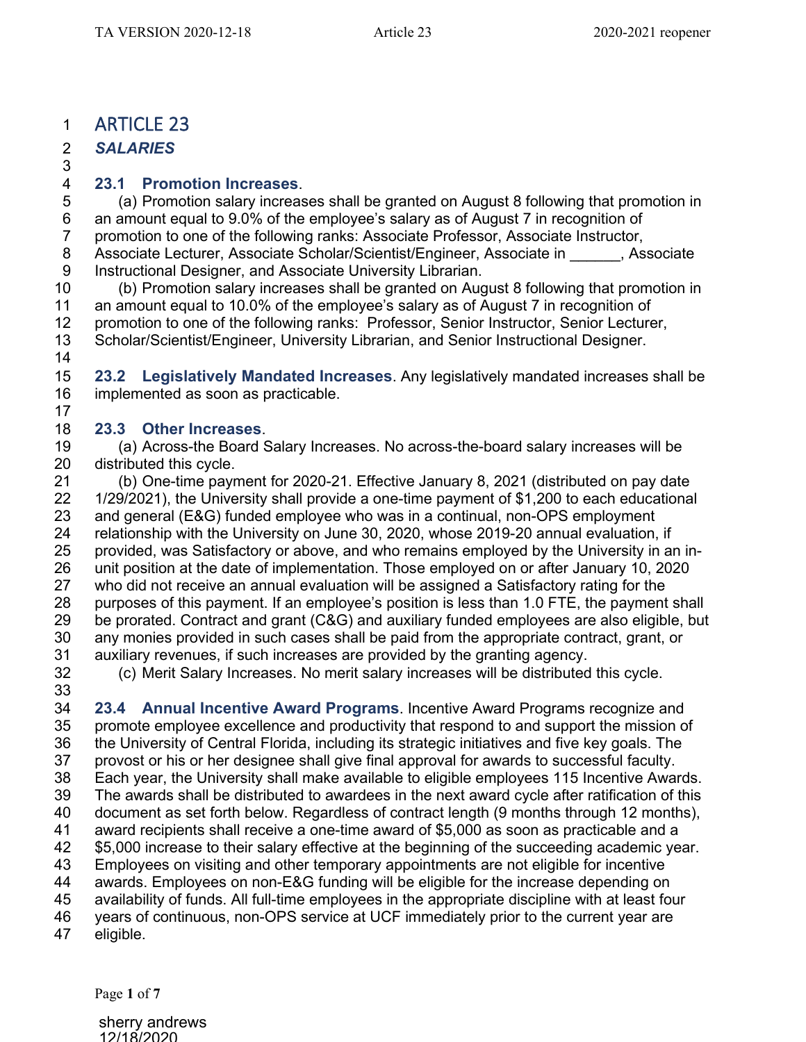## ARTICLE 23

*SALARIES*  

## **23.1 Promotion Increases**.

(a) Promotion salary increases shall be granted on August 8 following that promotion in 6 an amount equal to 9.0% of the employee's salary as of August 7 in recognition of 7 promotion to one of the following ranks: Associate Professor, Associate Instructor, 8 Associate Lecturer, Associate Scholar/Scientist/Engineer, Associate in \_\_\_\_\_\_, Associate 3 Instructional Designer, and Associate University Librarian. Instructional Designer, and Associate University Librarian.

 (b) Promotion salary increases shall be granted on August 8 following that promotion in an amount equal to 10.0% of the employee's salary as of August 7 in recognition of promotion to one of the following ranks: Professor, Senior Instructor, Senior Lecturer, Scholar/Scientist/Engineer, University Librarian, and Senior Instructional Designer. 

 **23.2 Legislatively Mandated Increases**. Any legislatively mandated increases shall be implemented as soon as practicable.

## **23.3 Other Increases**.

 (a) Across-the Board Salary Increases. No across-the-board salary increases will be distributed this cycle.

 (b) One-time payment for 2020-21. Effective January 8, 2021 (distributed on pay date 1/29/2021), the University shall provide a one-time payment of \$1,200 to each educational and general (E&G) funded employee who was in a continual, non-OPS employment relationship with the University on June 30, 2020, whose 2019-20 annual evaluation, if provided, was Satisfactory or above, and who remains employed by the University in an in- unit position at the date of implementation. Those employed on or after January 10, 2020 who did not receive an annual evaluation will be assigned a Satisfactory rating for the purposes of this payment. If an employee's position is less than 1.0 FTE, the payment shall be prorated. Contract and grant (C&G) and auxiliary funded employees are also eligible, but any monies provided in such cases shall be paid from the appropriate contract, grant, or 31 auxiliary revenues, if such increases are provided by the granting agency.<br>32 (c) Merit Salary Increases. No merit salary increases will be distributed

(c) Merit Salary Increases. No merit salary increases will be distributed this cycle.

 **23.4 Annual Incentive Award Programs**. Incentive Award Programs recognize and promote employee excellence and productivity that respond to and support the mission of 36 the University of Central Florida, including its strategic initiatives and five key goals. The 37 provost or his or her designee shall give final approval for awards to successful faculty. provost or his or her designee shall give final approval for awards to successful faculty. Each year, the University shall make available to eligible employees 115 Incentive Awards. The awards shall be distributed to awardees in the next award cycle after ratification of this document as set forth below. Regardless of contract length (9 months through 12 months), award recipients shall receive a one-time award of \$5,000 as soon as practicable and a \$5,000 increase to their salary effective at the beginning of the succeeding academic year. Employees on visiting and other temporary appointments are not eligible for incentive awards. Employees on non-E&G funding will be eligible for the increase depending on availability of funds. All full-time employees in the appropriate discipline with at least four years of continuous, non-OPS service at UCF immediately prior to the current year are

eligible.

Page **1** of **7**

sherry andrews 12/18/2020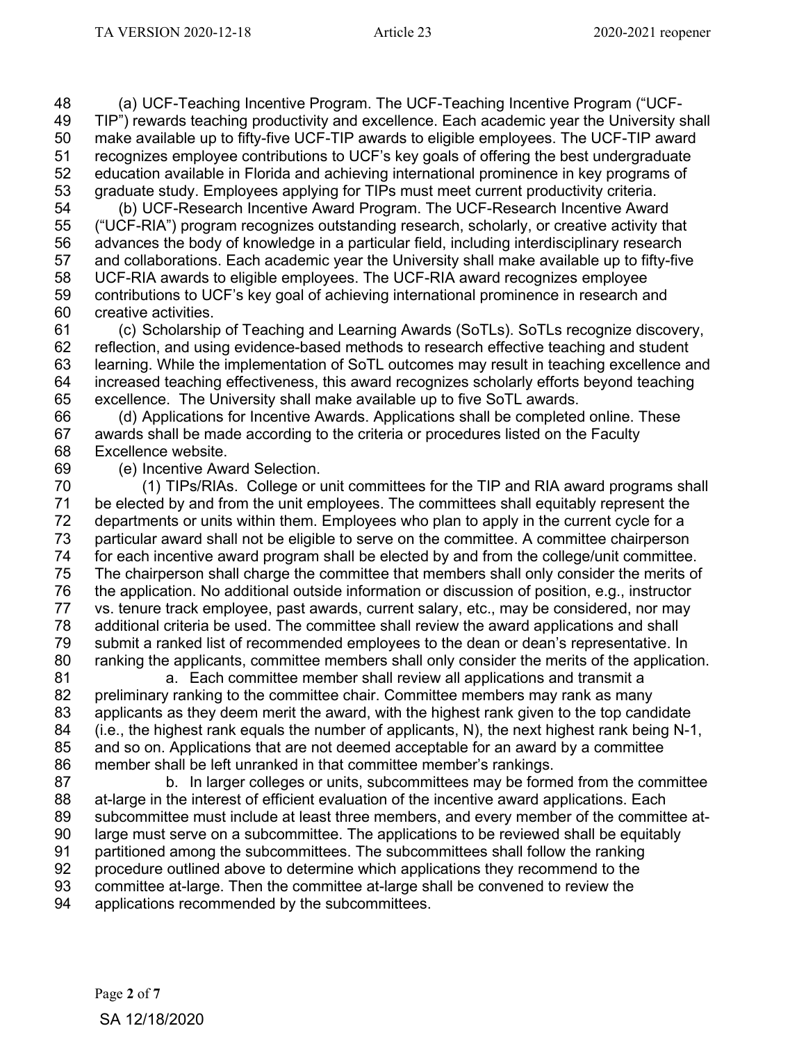(a) UCF-Teaching Incentive Program. The UCF-Teaching Incentive Program ("UCF- TIP") rewards teaching productivity and excellence. Each academic year the University shall make available up to fifty-five UCF-TIP awards to eligible employees. The UCF-TIP award recognizes employee contributions to UCF's key goals of offering the best undergraduate education available in Florida and achieving international prominence in key programs of graduate study. Employees applying for TIPs must meet current productivity criteria.

 (b) UCF-Research Incentive Award Program. The UCF-Research Incentive Award ("UCF-RIA") program recognizes outstanding research, scholarly, or creative activity that advances the body of knowledge in a particular field, including interdisciplinary research and collaborations. Each academic year the University shall make available up to fifty-five UCF-RIA awards to eligible employees. The UCF-RIA award recognizes employee contributions to UCF's key goal of achieving international prominence in research and creative activities.

 (c) Scholarship of Teaching and Learning Awards (SoTLs). SoTLs recognize discovery, reflection, and using evidence-based methods to research effective teaching and student learning. While the implementation of SoTL outcomes may result in teaching excellence and increased teaching effectiveness, this award recognizes scholarly efforts beyond teaching excellence. The University shall make available up to five SoTL awards.

 (d) Applications for Incentive Awards. Applications shall be completed online. These awards shall be made according to the criteria or procedures listed on the Faculty Excellence website.

69 (e) Incentive Award Selection.<br>70 (1) TIPs/RIAs. College or u (1) TIPs/RIAs. College or unit committees for the TIP and RIA award programs shall be elected by and from the unit employees. The committees shall equitably represent the departments or units within them. Employees who plan to apply in the current cycle for a particular award shall not be eligible to serve on the committee. A committee chairperson for each incentive award program shall be elected by and from the college/unit committee. The chairperson shall charge the committee that members shall only consider the merits of the application. No additional outside information or discussion of position, e.g., instructor 77 vs. tenure track employee, past awards, current salary, etc., may be considered, nor may<br>78 additional criteria be used. The committee shall review the award applications and shall additional criteria be used. The committee shall review the award applications and shall submit a ranked list of recommended employees to the dean or dean's representative. In ranking the applicants, committee members shall only consider the merits of the application.

 a. Each committee member shall review all applications and transmit a preliminary ranking to the committee chair. Committee members may rank as many applicants as they deem merit the award, with the highest rank given to the top candidate (i.e., the highest rank equals the number of applicants, N), the next highest rank being N-1, and so on. Applications that are not deemed acceptable for an award by a committee member shall be left unranked in that committee member's rankings.

 b. In larger colleges or units, subcommittees may be formed from the committee at-large in the interest of efficient evaluation of the incentive award applications. Each subcommittee must include at least three members, and every member of the committee at- large must serve on a subcommittee. The applications to be reviewed shall be equitably partitioned among the subcommittees. The subcommittees shall follow the ranking

procedure outlined above to determine which applications they recommend to the

committee at-large. Then the committee at-large shall be convened to review the

applications recommended by the subcommittees.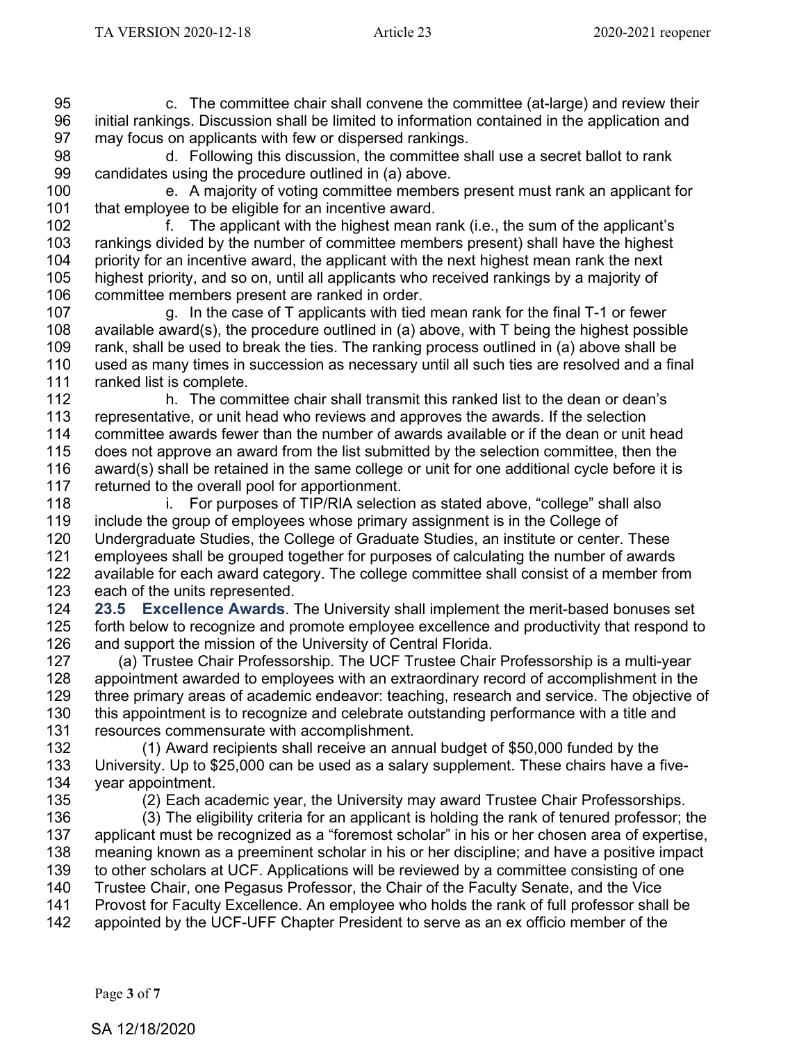c. The committee chair shall convene the committee (at-large) and review their initial rankings. Discussion shall be limited to information contained in the application and may focus on applicants with few or dispersed rankings.

98 d. Following this discussion, the committee shall use a secret ballot to rank<br>99 candidates using the procedure outlined in (a) above. candidates using the procedure outlined in (a) above.

 e. A majority of voting committee members present must rank an applicant for that employee to be eligible for an incentive award.

 f. The applicant with the highest mean rank (i.e., the sum of the applicant's 103 rankings divided by the number of committee members present) shall have the highest<br>104 priority for an incentive award, the applicant with the next highest mean rank the next priority for an incentive award, the applicant with the next highest mean rank the next highest priority, and so on, until all applicants who received rankings by a majority of committee members present are ranked in order.

 g. In the case of T applicants with tied mean rank for the final T-1 or fewer 108 available award(s), the procedure outlined in (a) above, with T being the highest possible 109 rank, shall be used to break the ties. The ranking process outlined in (a) above shall be rank, shall be used to break the ties. The ranking process outlined in (a) above shall be used as many times in succession as necessary until all such ties are resolved and a final 111 ranked list is complete.<br>112 b. The comi

h. The committee chair shall transmit this ranked list to the dean or dean's representative, or unit head who reviews and approves the awards. If the selection committee awards fewer than the number of awards available or if the dean or unit head does not approve an award from the list submitted by the selection committee, then the 116 award(s) shall be retained in the same college or unit for one additional cycle before it is 117 returned to the overall pool for apportionment. returned to the overall pool for apportionment.

**i.** For purposes of TIP/RIA selection as stated above, "college" shall also include the group of employees whose primary assignment is in the College of Undergraduate Studies, the College of Graduate Studies, an institute or center. These employees shall be grouped together for purposes of calculating the number of awards available for each award category. The college committee shall consist of a member from each of the units represented.

 **23.5 Excellence Awards**. The University shall implement the merit-based bonuses set forth below to recognize and promote employee excellence and productivity that respond to and support the mission of the University of Central Florida.

 (a) Trustee Chair Professorship. The UCF Trustee Chair Professorship is a multi-year appointment awarded to employees with an extraordinary record of accomplishment in the three primary areas of academic endeavor: teaching, research and service. The objective of this appointment is to recognize and celebrate outstanding performance with a title and resources commensurate with accomplishment.

 (1) Award recipients shall receive an annual budget of \$50,000 funded by the University. Up to \$25,000 can be used as a salary supplement. These chairs have a five-year appointment.

135 (2) Each academic year, the University may award Trustee Chair Professorships.<br>136 (3) The eligibility criteria for an applicant is holding the rank of tenured professor: t (3) The eligibility criteria for an applicant is holding the rank of tenured professor; the applicant must be recognized as a "foremost scholar" in his or her chosen area of expertise, meaning known as a preeminent scholar in his or her discipline; and have a positive impact to other scholars at UCF. Applications will be reviewed by a committee consisting of one 140 Trustee Chair, one Pegasus Professor, the Chair of the Faculty Senate, and the Vice<br>141 Provost for Faculty Excellence. An emplovee who holds the rank of full professor shal Provost for Faculty Excellence. An employee who holds the rank of full professor shall be appointed by the UCF-UFF Chapter President to serve as an ex officio member of the

SA 12/18/2020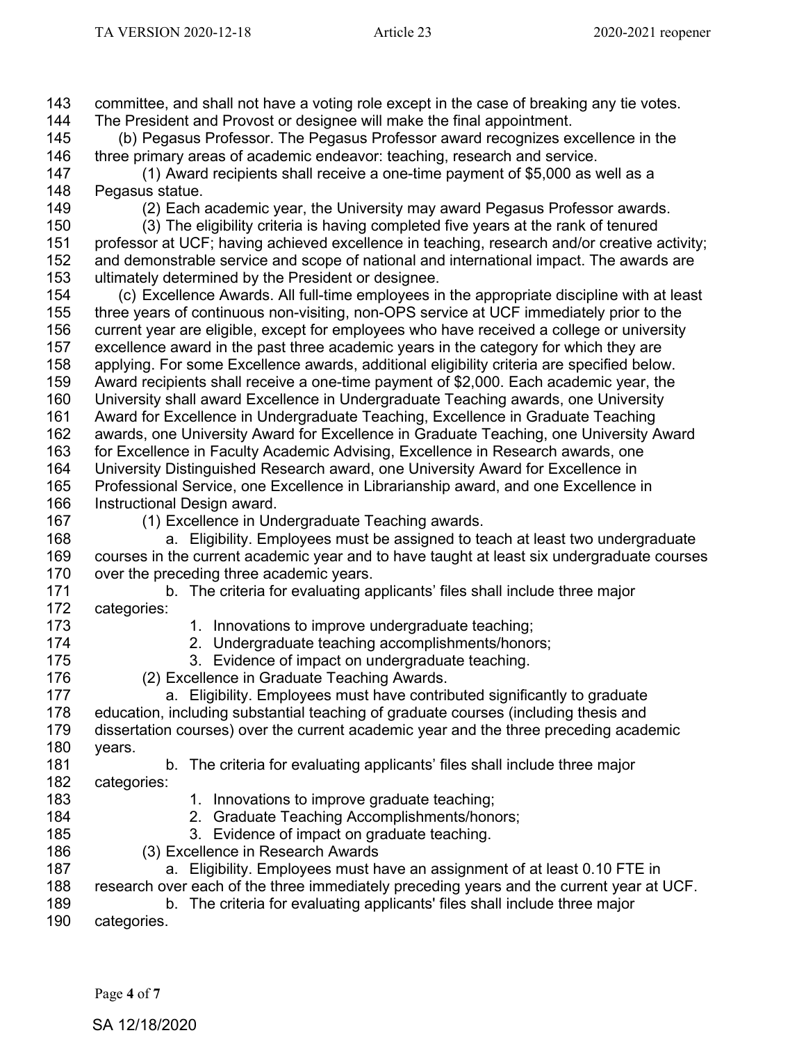committee, and shall not have a voting role except in the case of breaking any tie votes.

The President and Provost or designee will make the final appointment.

Page **4** of **7** (b) Pegasus Professor. The Pegasus Professor award recognizes excellence in the 146 three primary areas of academic endeavor: teaching, research and service.<br>147 (1) Award recipients shall receive a one-time payment of \$5,000 as v  $(1)$  Award recipients shall receive a one-time payment of \$5,000 as well as a Pegasus statue. (2) Each academic year, the University may award Pegasus Professor awards. (3) The eligibility criteria is having completed five years at the rank of tenured 151 professor at UCF; having achieved excellence in teaching, research and/or creative activity;<br>152 and demonstrable service and scope of national and international impact. The awards are and demonstrable service and scope of national and international impact. The awards are ultimately determined by the President or designee. (c) Excellence Awards. All full-time employees in the appropriate discipline with at least three years of continuous non-visiting, non-OPS service at UCF immediately prior to the 156 current year are eligible, except for employees who have received a college or university<br>157 excellence award in the past three academic vears in the category for which they are excellence award in the past three academic years in the category for which they are applying. For some Excellence awards, additional eligibility criteria are specified below. Award recipients shall receive a one-time payment of \$2,000. Each academic year, the University shall award Excellence in Undergraduate Teaching awards, one University Award for Excellence in Undergraduate Teaching, Excellence in Graduate Teaching awards, one University Award for Excellence in Graduate Teaching, one University Award for Excellence in Faculty Academic Advising, Excellence in Research awards, one University Distinguished Research award, one University Award for Excellence in Professional Service, one Excellence in Librarianship award, and one Excellence in Instructional Design award. (1) Excellence in Undergraduate Teaching awards. a. Eligibility. Employees must be assigned to teach at least two undergraduate courses in the current academic year and to have taught at least six undergraduate courses over the preceding three academic years. b. The criteria for evaluating applicants' files shall include three major 172 categories:<br>173 1. Innovations to improve undergraduate teaching; 2. Undergraduate teaching accomplishments/honors; 3. Evidence of impact on undergraduate teaching. (2) Excellence in Graduate Teaching Awards. a. Eligibility. Employees must have contributed significantly to graduate education, including substantial teaching of graduate courses (including thesis and dissertation courses) over the current academic year and the three preceding academic years. b. The criteria for evaluating applicants' files shall include three major categories: 183 183 1. Innovations to improve graduate teaching; 2. Graduate Teaching Accomplishments/honors; 3. Evidence of impact on graduate teaching. (3) Excellence in Research Awards **a.** Eligibility. Employees must have an assignment of at least 0.10 FTE in research over each of the three immediately preceding years and the current year at UCF. b. The criteria for evaluating applicants' files shall include three major categories.

SA 12/18/2020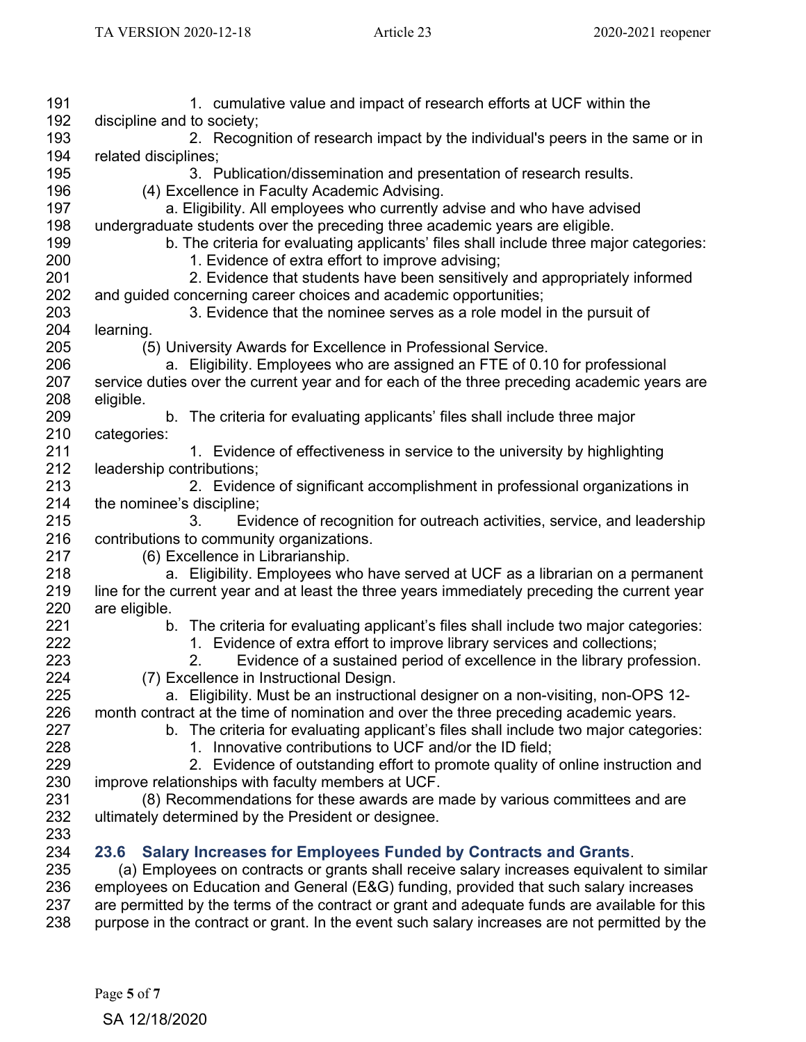| 191 | 1. cumulative value and impact of research efforts at UCF within the                          |
|-----|-----------------------------------------------------------------------------------------------|
| 192 | discipline and to society;                                                                    |
| 193 | 2. Recognition of research impact by the individual's peers in the same or in                 |
| 194 | related disciplines;                                                                          |
| 195 | 3. Publication/dissemination and presentation of research results.                            |
| 196 | (4) Excellence in Faculty Academic Advising.                                                  |
| 197 | a. Eligibility. All employees who currently advise and who have advised                       |
| 198 | undergraduate students over the preceding three academic years are eligible.                  |
| 199 | b. The criteria for evaluating applicants' files shall include three major categories:        |
| 200 | 1. Evidence of extra effort to improve advising;                                              |
| 201 | 2. Evidence that students have been sensitively and appropriately informed                    |
| 202 | and guided concerning career choices and academic opportunities;                              |
| 203 | 3. Evidence that the nominee serves as a role model in the pursuit of                         |
| 204 | learning.                                                                                     |
| 205 | (5) University Awards for Excellence in Professional Service.                                 |
| 206 | a. Eligibility. Employees who are assigned an FTE of 0.10 for professional                    |
| 207 | service duties over the current year and for each of the three preceding academic years are   |
| 208 | eligible.                                                                                     |
| 209 | b. The criteria for evaluating applicants' files shall include three major                    |
| 210 | categories:                                                                                   |
| 211 | 1. Evidence of effectiveness in service to the university by highlighting                     |
| 212 | leadership contributions;                                                                     |
| 213 | 2. Evidence of significant accomplishment in professional organizations in                    |
| 214 | the nominee's discipline;                                                                     |
| 215 | Evidence of recognition for outreach activities, service, and leadership<br>3.                |
| 216 | contributions to community organizations.                                                     |
| 217 | (6) Excellence in Librarianship.                                                              |
| 218 | a. Eligibility. Employees who have served at UCF as a librarian on a permanent                |
| 219 | line for the current year and at least the three years immediately preceding the current year |
| 220 | are eligible.                                                                                 |
| 221 | b. The criteria for evaluating applicant's files shall include two major categories:          |
| 222 | 1. Evidence of extra effort to improve library services and collections;                      |
| 223 | Evidence of a sustained period of excellence in the library profession.<br>2.                 |
| 224 | (7) Excellence in Instructional Design.                                                       |
| 225 | a. Eligibility. Must be an instructional designer on a non-visiting, non-OPS 12-              |
| 226 | month contract at the time of nomination and over the three preceding academic years.         |
| 227 | b. The criteria for evaluating applicant's files shall include two major categories:          |
| 228 | 1. Innovative contributions to UCF and/or the ID field;                                       |
| 229 | 2. Evidence of outstanding effort to promote quality of online instruction and                |
| 230 | improve relationships with faculty members at UCF.                                            |
| 231 | (8) Recommendations for these awards are made by various committees and are                   |
| 232 | ultimately determined by the President or designee.                                           |
| 233 |                                                                                               |
| 234 | <b>Salary Increases for Employees Funded by Contracts and Grants.</b><br>23.6                 |
| 235 | (a) Employees on contracts or grants shall receive salary increases equivalent to similar     |
| 236 | employees on Education and General (E&G) funding, provided that such salary increases         |
| 237 | are permitted by the terms of the contract or grant and adequate funds are available for this |
| 238 | purpose in the contract or grant. In the event such salary increases are not permitted by the |
|     |                                                                                               |
|     |                                                                                               |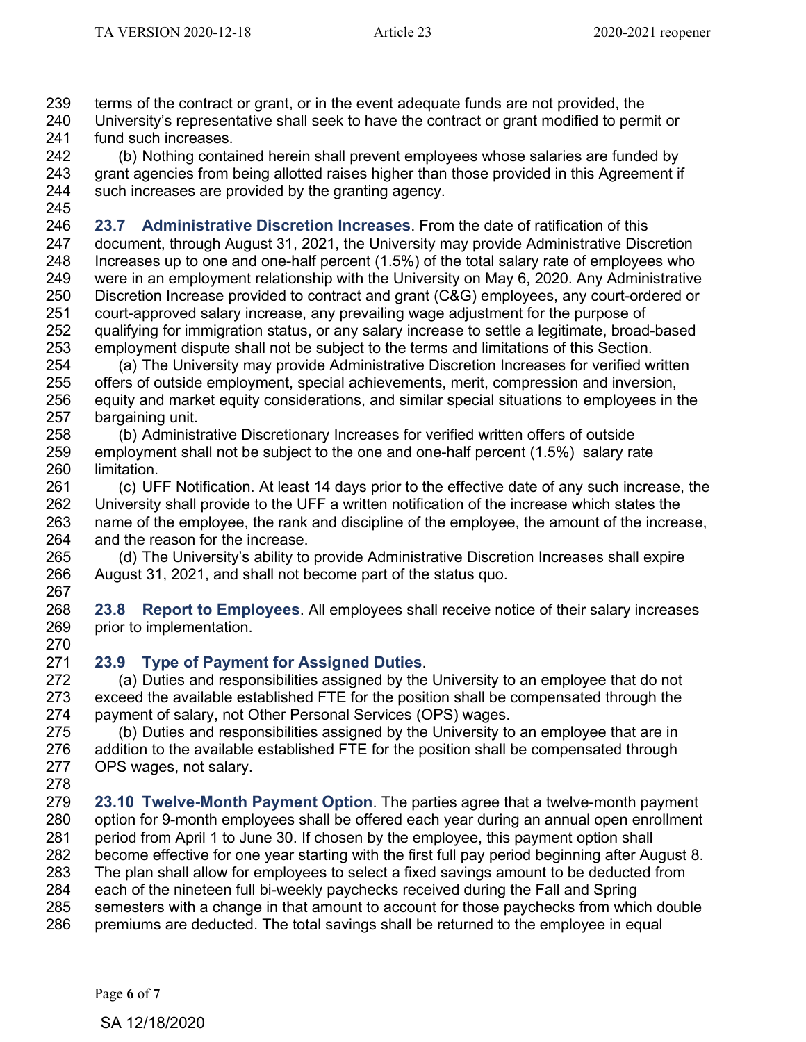terms of the contract or grant, or in the event adequate funds are not provided, the

240 University's representative shall seek to have the contract or grant modified to permit or 241 fund such increases. 241 fund such increases.<br>242 (b) Nothing conta

 (b) Nothing contained herein shall prevent employees whose salaries are funded by grant agencies from being allotted raises higher than those provided in this Agreement if such increases are provided by the granting agency. 

 **23.7 Administrative Discretion Increases**. From the date of ratification of this document, through August 31, 2021, the University may provide Administrative Discretion Increases up to one and one-half percent (1.5%) of the total salary rate of employees who were in an employment relationship with the University on May 6, 2020. Any Administrative Discretion Increase provided to contract and grant (C&G) employees, any court-ordered or court-approved salary increase, any prevailing wage adjustment for the purpose of 252 qualifying for immigration status, or any salary increase to settle a legitimate, broad-based<br>253 employment dispute shall not be subiect to the terms and limitations of this Section. employment dispute shall not be subject to the terms and limitations of this Section.

 (a) The University may provide Administrative Discretion Increases for verified written offers of outside employment, special achievements, merit, compression and inversion, equity and market equity considerations, and similar special situations to employees in the 257 bargaining unit.<br>258 (b) Administ

 (b) Administrative Discretionary Increases for verified written offers of outside employment shall not be subject to the one and one-half percent (1.5%) salary rate limitation.

 (c) UFF Notification. At least 14 days prior to the effective date of any such increase, the University shall provide to the UFF a written notification of the increase which states the name of the employee, the rank and discipline of the employee, the amount of the increase, and the reason for the increase.

 (d) The University's ability to provide Administrative Discretion Increases shall expire August 31, 2021, and shall not become part of the status quo. 

 **23.8 Report to Employees**. All employees shall receive notice of their salary increases prior to implementation.

## **23.9 Type of Payment for Assigned Duties**.

(a) Duties and responsibilities assigned by the University to an employee that do not exceed the available established FTE for the position shall be compensated through the payment of salary, not Other Personal Services (OPS) wages.

 (b) Duties and responsibilities assigned by the University to an employee that are in addition to the available established FTE for the position shall be compensated through OPS wages, not salary.

 **23.10 Twelve-Month Payment Option**. The parties agree that a twelve-month payment option for 9-month employees shall be offered each year during an annual open enrollment period from April 1 to June 30. If chosen by the employee, this payment option shall become effective for one year starting with the first full pay period beginning after August 8. The plan shall allow for employees to select a fixed savings amount to be deducted from each of the nineteen full bi-weekly paychecks received during the Fall and Spring semesters with a change in that amount to account for those paychecks from which double premiums are deducted. The total savings shall be returned to the employee in equal